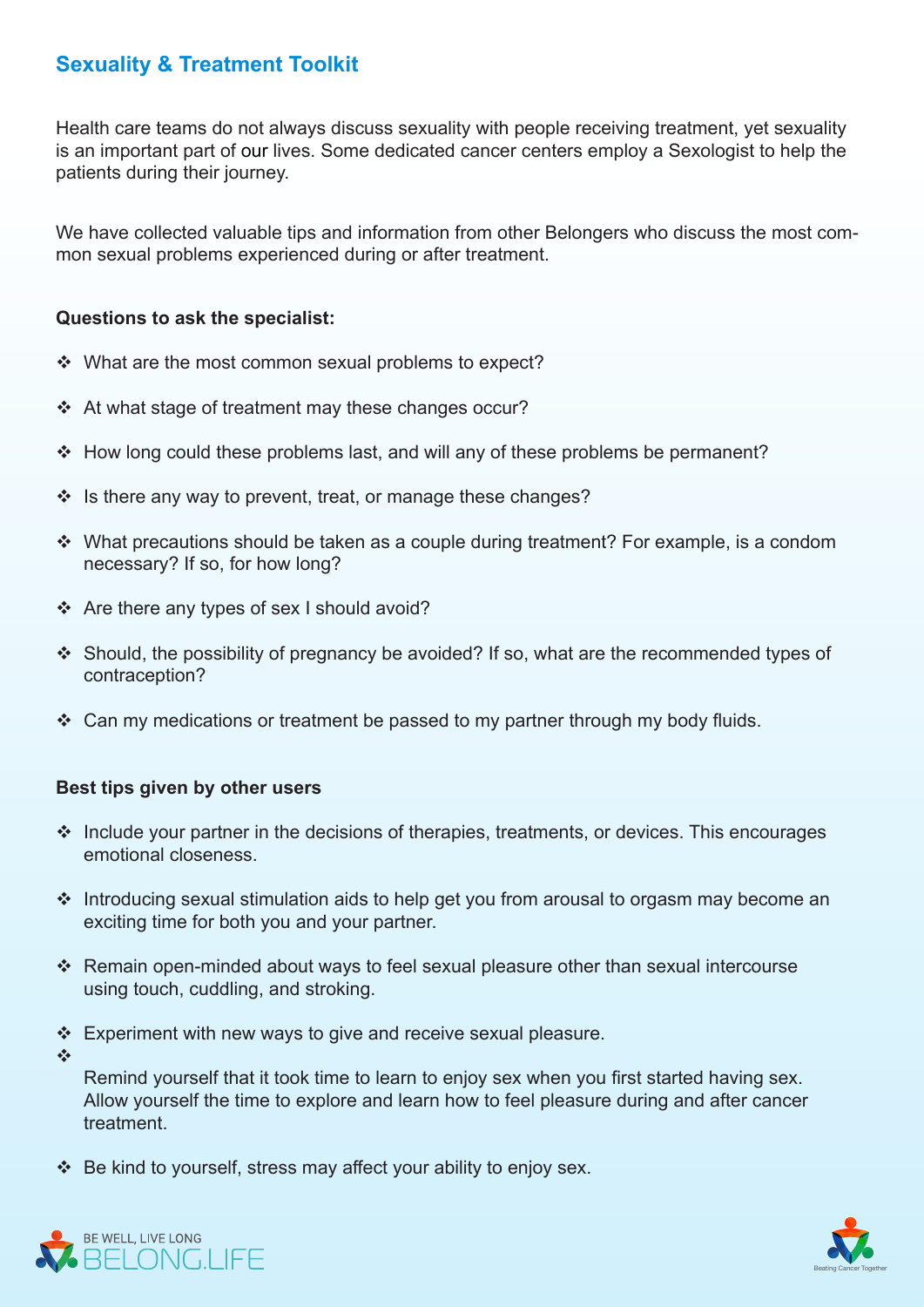## **Sexuality & Treatment Toolkit**

Health care teams do not always discuss sexuality with people receiving treatment, yet sexuality is an important part of our lives. Some dedicated cancer centers employ a Sexologist to help the patients during their journey.

We have collected valuable tips and information from other Belongers who discuss the most com-<br>mon sexual problems experienced during or after treatment.

## **Questions to ask the specialist:**

- $\cdot$  What are the most common sexual problems to expect?
- $\div$  At what stage of treatment may these changes occur?
- $\div$  How long could these problems last, and will any of these problems be permanent?
- $\cdot$  Is there any way to prevent, treat, or manage these changes?
- $\cdot$  What precautions should be taken as a couple during treatment? For example, is a condom necessary? If so, for how long?
- $\triangleq$  Are there any types of sex I should avoid?
- $\cdot$  Should, the possibility of pregnancy be avoided? If so, what are the recommended types of contraception?
- $\div$  Can my medications or treatment be passed to my partner through my body fluids.

## **Best tips given by other users**

- $\cdot$  Include your partner in the decisions of therapies, treatments, or devices. This encourages emotional closeness
- $\cdot$  Introducing sexual stimulation aids to help get you from arousal to orgasm may become an exciting time for both you and your partner.
- Remain open-minded about ways to feel sexual pleasure other than sexual intercourse using touch, cuddling, and stroking.
- $\cdot$  Experiment with new ways to give and receive sexual pleasure.

 $\frac{1}{2}$ 

Remind yourself that it took time to learn to enjoy sex when you first started having sex. Allow yourself the time to explore and learn how to feel pleasure during and after cancer treatment.

 $\div$  Be kind to yourself, stress may affect your ability to enjoy sex.